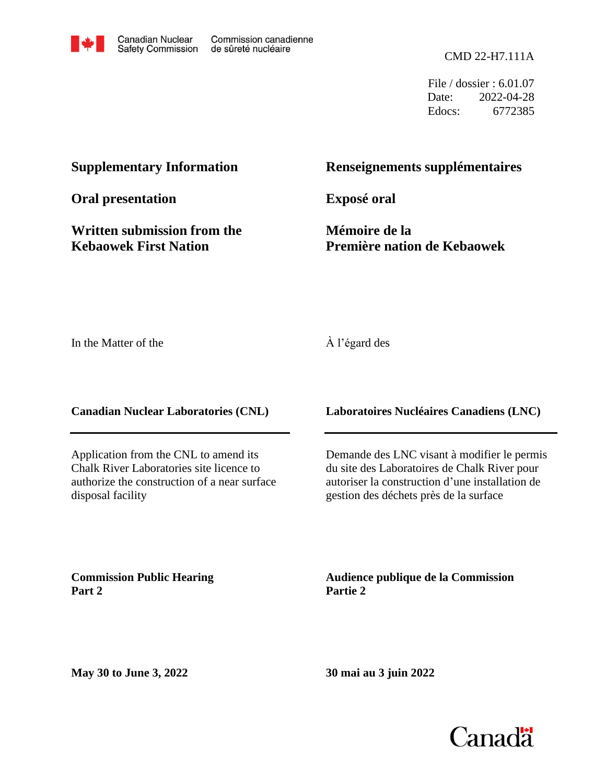

File / dossier : 6.01.07 Date: 2022-04-28 Edocs: 6772385

# **Supplementary Information**

**Oral presentation**

**Written submission from the Kebaowek First Nation**

# **Renseignements supplémentaires**

**Exposé oral**

**Mémoire de la Première nation de Kebaowek**

In the Matter of the

# À l'égard des

**Canadian Nuclear Laboratories (CNL)**

Application from the CNL to amend its Chalk River Laboratories site licence to authorize the construction of a near surface disposal facility

**Commission Public Hearing Part 2**

**Laboratoires Nucléaires Canadiens (LNC)**

Demande des LNC visant à modifier le permis du site des Laboratoires de Chalk River pour autoriser la construction d'une installation de gestion des déchets près de la surface

**Audience publique de la Commission Partie 2**

**May 30 to June 3, 2022**

**30 mai au 3 juin 2022**

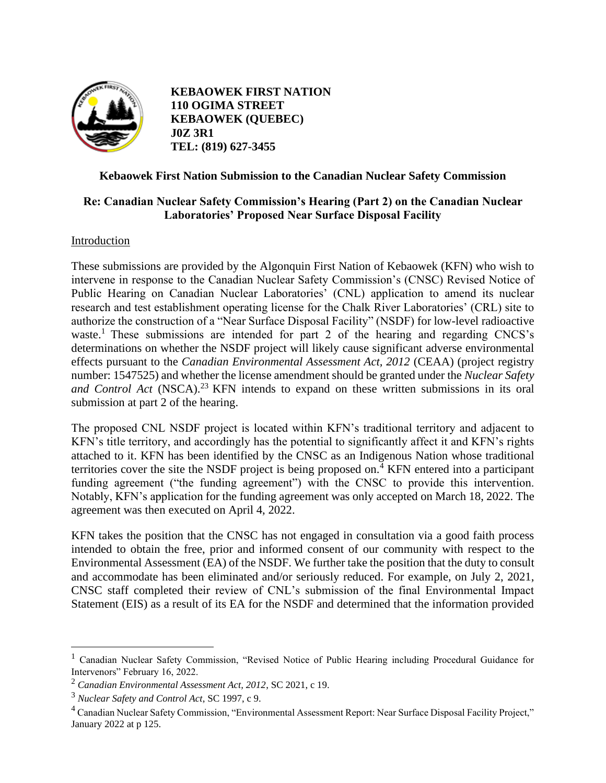

 **KEBAOWEK FIRST NATION 110 OGIMA STREET KEBAOWEK (QUEBEC) J0Z 3R1 TEL: (819) 627-3455** 

## **Kebaowek First Nation Submission to the Canadian Nuclear Safety Commission**

# **Re: Canadian Nuclear Safety Commission's Hearing (Part 2) on the Canadian Nuclear Laboratories' Proposed Near Surface Disposal Facility**

#### Introduction

These submissions are provided by the Algonquin First Nation of Kebaowek (KFN) who wish to intervene in response to the Canadian Nuclear Safety Commission's (CNSC) Revised Notice of Public Hearing on Canadian Nuclear Laboratories' (CNL) application to amend its nuclear research and test establishment operating license for the Chalk River Laboratories' (CRL) site to authorize the construction of a "Near Surface Disposal Facility" (NSDF) for low-level radioactive waste.<sup>1</sup> These submissions are intended for part 2 of the hearing and regarding CNCS's determinations on whether the NSDF project will likely cause significant adverse environmental effects pursuant to the *Canadian Environmental Assessment Act, 2012* (CEAA) (project registry number: 1547525) and whether the license amendment should be granted under the *Nuclear Safety*  and Control Act (NSCA).<sup>23</sup> KFN intends to expand on these written submissions in its oral submission at part 2 of the hearing.

The proposed CNL NSDF project is located within KFN's traditional territory and adjacent to KFN's title territory, and accordingly has the potential to significantly affect it and KFN's rights attached to it. KFN has been identified by the CNSC as an Indigenous Nation whose traditional territories cover the site the NSDF project is being proposed on.<sup>4</sup> KFN entered into a participant funding agreement ("the funding agreement") with the CNSC to provide this intervention. Notably, KFN's application for the funding agreement was only accepted on March 18, 2022. The agreement was then executed on April 4, 2022.

KFN takes the position that the CNSC has not engaged in consultation via a good faith process intended to obtain the free, prior and informed consent of our community with respect to the Environmental Assessment (EA) of the NSDF. We further take the position that the duty to consult and accommodate has been eliminated and/or seriously reduced. For example, on July 2, 2021, CNSC staff completed their review of CNL's submission of the final Environmental Impact Statement (EIS) as a result of its EA for the NSDF and determined that the information provided

<sup>&</sup>lt;sup>1</sup> Canadian Nuclear Safety Commission, "Revised Notice of Public Hearing including Procedural Guidance for Intervenors" February 16, 2022.

<sup>2</sup> *Canadian Environmental Assessment Act, 2012*, SC 2021, c 19.

<sup>3</sup> *Nuclear Safety and Control Act*, SC 1997, c 9.

<sup>&</sup>lt;sup>4</sup> Canadian Nuclear Safety Commission, "Environmental Assessment Report: Near Surface Disposal Facility Project," January 2022 at p 125.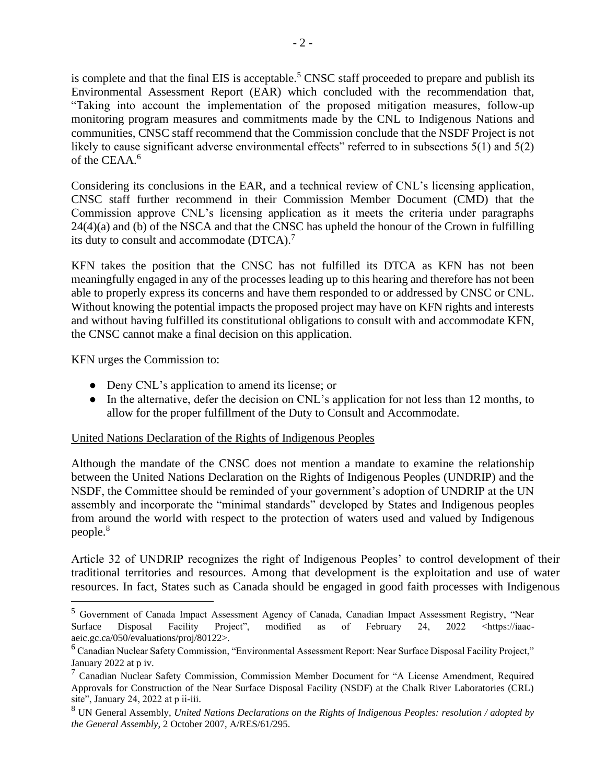is complete and that the final EIS is acceptable.<sup>5</sup> CNSC staff proceeded to prepare and publish its Environmental Assessment Report (EAR) which concluded with the recommendation that, "Taking into account the implementation of the proposed mitigation measures, follow-up monitoring program measures and commitments made by the CNL to Indigenous Nations and communities, CNSC staff recommend that the Commission conclude that the NSDF Project is not likely to cause significant adverse environmental effects" referred to in subsections 5(1) and 5(2) of the CEAA.<sup>6</sup>

Considering its conclusions in the EAR, and a technical review of CNL's licensing application, CNSC staff further recommend in their Commission Member Document (CMD) that the Commission approve CNL's licensing application as it meets the criteria under paragraphs 24(4)(a) and (b) of the NSCA and that the CNSC has upheld the honour of the Crown in fulfilling its duty to consult and accommodate (DTCA).<sup>7</sup>

KFN takes the position that the CNSC has not fulfilled its DTCA as KFN has not been meaningfully engaged in any of the processes leading up to this hearing and therefore has not been able to properly express its concerns and have them responded to or addressed by CNSC or CNL. Without knowing the potential impacts the proposed project may have on KFN rights and interests and without having fulfilled its constitutional obligations to consult with and accommodate KFN, the CNSC cannot make a final decision on this application.

KFN urges the Commission to:

- Deny CNL's application to amend its license; or
- In the alternative, defer the decision on CNL's application for not less than 12 months, to allow for the proper fulfillment of the Duty to Consult and Accommodate.

#### United Nations Declaration of the Rights of Indigenous Peoples

Although the mandate of the CNSC does not mention a mandate to examine the relationship between the United Nations Declaration on the Rights of Indigenous Peoples (UNDRIP) and the NSDF, the Committee should be reminded of your government's adoption of UNDRIP at the UN assembly and incorporate the "minimal standards" developed by States and Indigenous peoples from around the world with respect to the protection of waters used and valued by Indigenous people.<sup>8</sup>

Article 32 of UNDRIP recognizes the right of Indigenous Peoples' to control development of their traditional territories and resources. Among that development is the exploitation and use of water resources. In fact, States such as Canada should be engaged in good faith processes with Indigenous

<sup>5</sup> Government of Canada Impact Assessment Agency of Canada, Canadian Impact Assessment Registry, "Near Surface Disposal Facility Project", modified as of February 24, 2022 <https://iaacaeic.gc.ca/050/evaluations/proj/80122>.

<sup>&</sup>lt;sup>6</sup> Canadian Nuclear Safety Commission, "Environmental Assessment Report: Near Surface Disposal Facility Project," January 2022 at p iv.

<sup>7</sup> Canadian Nuclear Safety Commission, Commission Member Document for "A License Amendment, Required Approvals for Construction of the Near Surface Disposal Facility (NSDF) at the Chalk River Laboratories (CRL) site", January 24, 2022 at p ii-iii.

<sup>8</sup> UN General Assembly, *United Nations Declarations on the Rights of Indigenous Peoples: resolution / adopted by the General Assembly*, 2 October 2007, A/RES/61/295.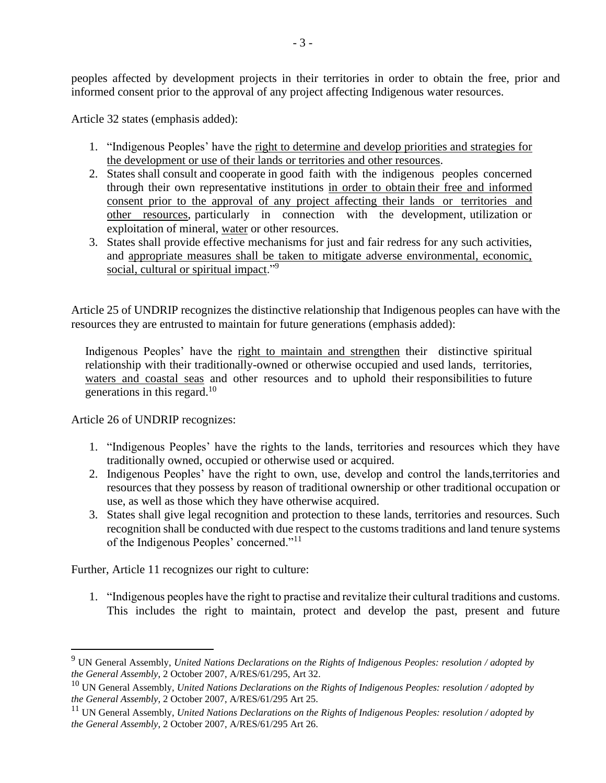peoples affected by development projects in their territories in order to obtain the free, prior and informed consent prior to the approval of any project affecting Indigenous water resources.

Article 32 states (emphasis added):

- 1. "Indigenous Peoples' have the right to determine and develop priorities and strategies for the development or use of their lands or territories and other resources.
- 2. States shall consult and cooperate in good faith with the indigenous peoples concerned through their own representative institutions in order to obtain their free and informed consent prior to the approval of any project affecting their lands or territories and other resources, particularly in connection with the development, utilization or exploitation of mineral, water or other resources.
- 3. States shall provide effective mechanisms for just and fair redress for any such activities, and appropriate measures shall be taken to mitigate adverse environmental, economic, social, cultural or spiritual impact."<sup>9</sup>

Article 25 of UNDRIP recognizes the distinctive relationship that Indigenous peoples can have with the resources they are entrusted to maintain for future generations (emphasis added):

Indigenous Peoples' have the right to maintain and strengthen their distinctive spiritual relationship with their traditionally-owned or otherwise occupied and used lands, territories, waters and coastal seas and other resources and to uphold their responsibilities to future generations in this regard.<sup>10</sup>

Article 26 of UNDRIP recognizes:

- 1. "Indigenous Peoples' have the rights to the lands, territories and resources which they have traditionally owned, occupied or otherwise used or acquired.
- 2. Indigenous Peoples' have the right to own, use, develop and control the lands,territories and resources that they possess by reason of traditional ownership or other traditional occupation or use, as well as those which they have otherwise acquired.
- 3. States shall give legal recognition and protection to these lands, territories and resources. Such recognition shall be conducted with due respect to the customs traditions and land tenure systems of the Indigenous Peoples' concerned."<sup>11</sup>

Further, Article 11 recognizes our right to culture:

1. "Indigenous peoples have the right to practise and revitalize their cultural traditions and customs. This includes the right to maintain, protect and develop the past, present and future

<sup>9</sup> UN General Assembly, *United Nations Declarations on the Rights of Indigenous Peoples: resolution / adopted by the General Assembly*, 2 October 2007, A/RES/61/295, Art 32.

<sup>10</sup> UN General Assembly, *United Nations Declarations on the Rights of Indigenous Peoples: resolution / adopted by the General Assembly*, 2 October 2007, A/RES/61/295 Art 25.

<sup>11</sup> UN General Assembly, *United Nations Declarations on the Rights of Indigenous Peoples: resolution / adopted by the General Assembly*, 2 October 2007, A/RES/61/295 Art 26.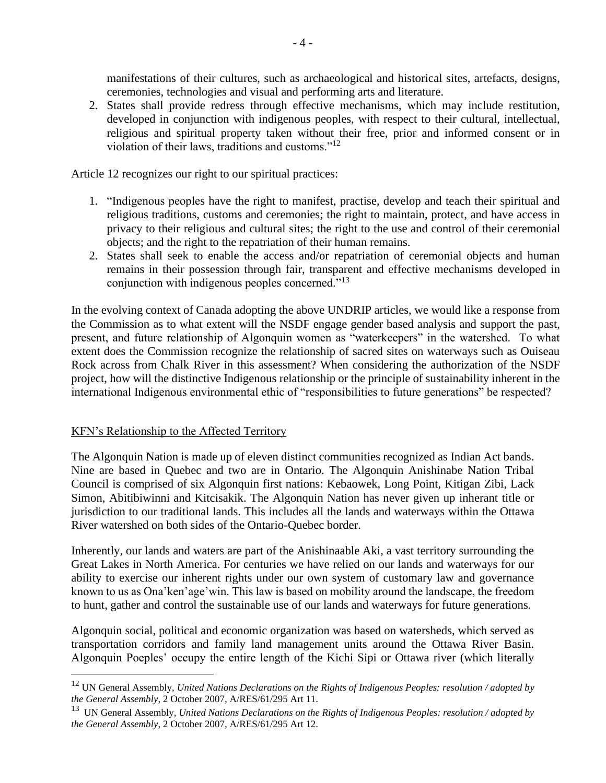manifestations of their cultures, such as archaeological and historical sites, artefacts, designs, ceremonies, technologies and visual and performing arts and literature.

2. States shall provide redress through effective mechanisms, which may include restitution, developed in conjunction with indigenous peoples, with respect to their cultural, intellectual, religious and spiritual property taken without their free, prior and informed consent or in violation of their laws, traditions and customs."<sup>12</sup>

Article 12 recognizes our right to our spiritual practices:

- 1. "Indigenous peoples have the right to manifest, practise, develop and teach their spiritual and religious traditions, customs and ceremonies; the right to maintain, protect, and have access in privacy to their religious and cultural sites; the right to the use and control of their ceremonial objects; and the right to the repatriation of their human remains.
- 2. States shall seek to enable the access and/or repatriation of ceremonial objects and human remains in their possession through fair, transparent and effective mechanisms developed in conjunction with indigenous peoples concerned."<sup>13</sup>

In the evolving context of Canada adopting the above UNDRIP articles, we would like a response from the Commission as to what extent will the NSDF engage gender based analysis and support the past, present, and future relationship of Algonquin women as "waterkeepers" in the watershed. To what extent does the Commission recognize the relationship of sacred sites on waterways such as Ouiseau Rock across from Chalk River in this assessment? When considering the authorization of the NSDF project, how will the distinctive Indigenous relationship or the principle of sustainability inherent in the international Indigenous environmental ethic of "responsibilities to future generations" be respected?

#### KFN's Relationship to the Affected Territory

The Algonquin Nation is made up of eleven distinct communities recognized as Indian Act bands. Nine are based in Quebec and two are in Ontario. The Algonquin Anishinabe Nation Tribal Council is comprised of six Algonquin first nations: Kebaowek, Long Point, Kitigan Zibi, Lack Simon, Abitibiwinni and Kitcisakik. The Algonquin Nation has never given up inherant title or jurisdiction to our traditional lands. This includes all the lands and waterways within the Ottawa River watershed on both sides of the Ontario-Quebec border.

Inherently, our lands and waters are part of the Anishinaable Aki, a vast territory surrounding the Great Lakes in North America. For centuries we have relied on our lands and waterways for our ability to exercise our inherent rights under our own system of customary law and governance known to us as Ona'ken'age'win. This law is based on mobility around the landscape, the freedom to hunt, gather and control the sustainable use of our lands and waterways for future generations.

Algonquin social, political and economic organization was based on watersheds, which served as transportation corridors and family land management units around the Ottawa River Basin. Algonquin Poeples' occupy the entire length of the Kichi Sipi or Ottawa river (which literally

<sup>12</sup> UN General Assembly, *United Nations Declarations on the Rights of Indigenous Peoples: resolution / adopted by the General Assembly*, 2 October 2007, A/RES/61/295 Art 11.

<sup>13</sup> UN General Assembly, *United Nations Declarations on the Rights of Indigenous Peoples: resolution / adopted by the General Assembly*, 2 October 2007, A/RES/61/295 Art 12.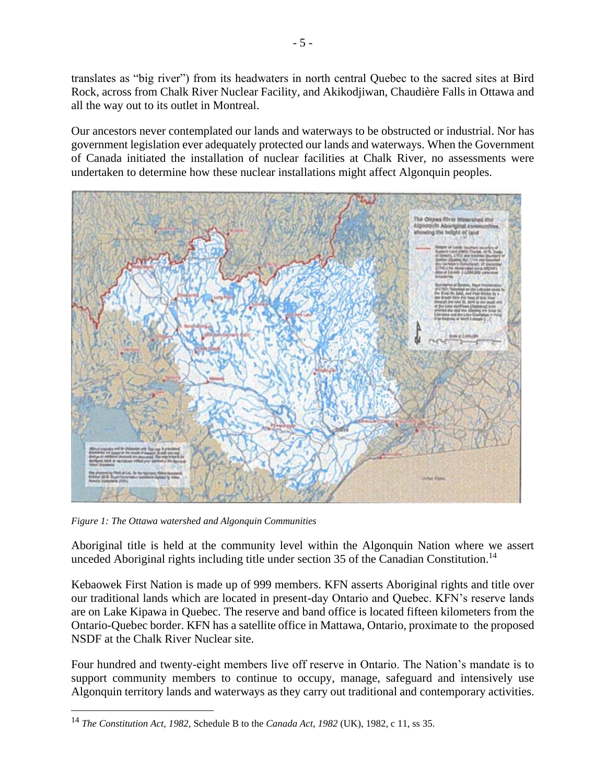translates as "big river") from its headwaters in north central Quebec to the sacred sites at Bird Rock, across from Chalk River Nuclear Facility, and Akikodjiwan, Chaudière Falls in Ottawa and all the way out to its outlet in Montreal.

Our ancestors never contemplated our lands and waterways to be obstructed or industrial. Nor has government legislation ever adequately protected our lands and waterways. When the Government of Canada initiated the installation of nuclear facilities at Chalk River, no assessments were undertaken to determine how these nuclear installations might affect Algonquin peoples.



*Figure 1: The Ottawa watershed and Algonquin Communities*

Aboriginal title is held at the community level within the Algonquin Nation where we assert unceded Aboriginal rights including title under section 35 of the Canadian Constitution.<sup>14</sup>

Kebaowek First Nation is made up of 999 members. KFN asserts Aboriginal rights and title over our traditional lands which are located in present-day Ontario and Quebec. KFN's reserve lands are on Lake Kipawa in Quebec. The reserve and band office is located fifteen kilometers from the Ontario-Quebec border. KFN has a satellite office in Mattawa, Ontario, proximate to the proposed NSDF at the Chalk River Nuclear site.

Four hundred and twenty-eight members live off reserve in Ontario. The Nation's mandate is to support community members to continue to occupy, manage, safeguard and intensively use Algonquin territory lands and waterways as they carry out traditional and contemporary activities.

<sup>14</sup> *The Constitution Act, 1982,* Schedule B to the *Canada Act*, *1982* (UK), 1982, c 11, ss 35.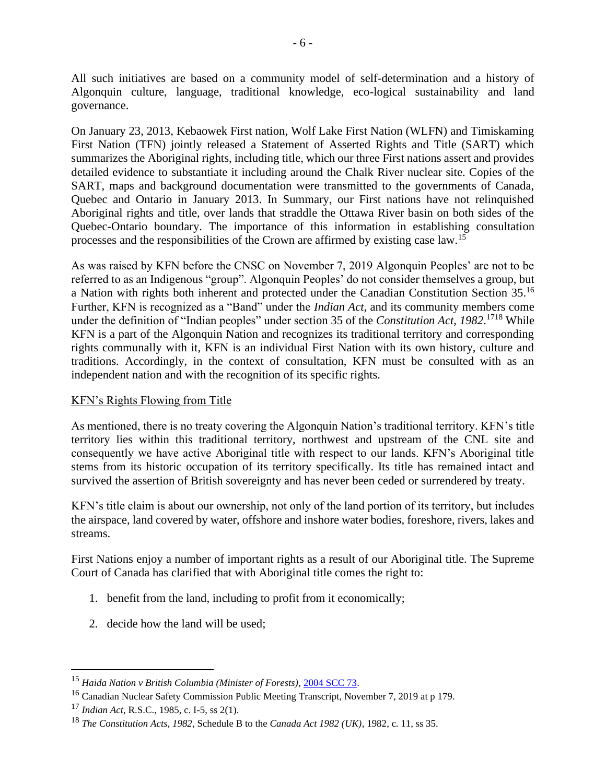All such initiatives are based on a community model of self-determination and a history of Algonquin culture, language, traditional knowledge, eco-logical sustainability and land governance.

On January 23, 2013, Kebaowek First nation, Wolf Lake First Nation (WLFN) and Timiskaming First Nation (TFN) jointly released a Statement of Asserted Rights and Title (SART) which summarizes the Aboriginal rights, including title, which our three First nations assert and provides detailed evidence to substantiate it including around the Chalk River nuclear site. Copies of the SART, maps and background documentation were transmitted to the governments of Canada, Quebec and Ontario in January 2013. In Summary, our First nations have not relinquished Aboriginal rights and title, over lands that straddle the Ottawa River basin on both sides of the Quebec-Ontario boundary. The importance of this information in establishing consultation processes and the responsibilities of the Crown are affirmed by existing case law.<sup>15</sup>

As was raised by KFN before the CNSC on November 7, 2019 Algonquin Peoples' are not to be referred to as an Indigenous "group". Algonquin Peoples' do not consider themselves a group, but a Nation with rights both inherent and protected under the Canadian Constitution Section 35.<sup>16</sup> Further, KFN is recognized as a "Band" under the *Indian Act*, and its community members come under the definition of "Indian peoples" under section 35 of the *Constitution Act, 1982*. <sup>1718</sup> While KFN is a part of the Algonquin Nation and recognizes its traditional territory and corresponding rights communally with it, KFN is an individual First Nation with its own history, culture and traditions. Accordingly, in the context of consultation, KFN must be consulted with as an independent nation and with the recognition of its specific rights.

# KFN's Rights Flowing from Title

As mentioned, there is no treaty covering the Algonquin Nation's traditional territory. KFN's title territory lies within this traditional territory, northwest and upstream of the CNL site and consequently we have active Aboriginal title with respect to our lands. KFN's Aboriginal title stems from its historic occupation of its territory specifically. Its title has remained intact and survived the assertion of British sovereignty and has never been ceded or surrendered by treaty.

KFN's title claim is about our ownership, not only of the land portion of its territory, but includes the airspace, land covered by water, offshore and inshore water bodies, foreshore, rivers, lakes and streams.

First Nations enjoy a number of important rights as a result of our Aboriginal title. The Supreme Court of Canada has clarified that with Aboriginal title comes the right to:

- 1. benefit from the land, including to profit from it economically;
- 2. decide how the land will be used;

<sup>15</sup> *Haida Nation v British Columbia (Minister of Forests)*[, 2004 SCC 73.](https://www.canlii.org/en/ca/scc/doc/2004/2004scc73/2004scc73.html#par44)

<sup>&</sup>lt;sup>16</sup> Canadian Nuclear Safety Commission Public Meeting Transcript, November 7, 2019 at p 179.

<sup>17</sup> *Indian Act*, R.S.C., 1985, c. I-5, ss 2(1).

<sup>18</sup> *The Constitution Acts, 1982*, Schedule B to the *Canada Act 1982 (UK)*, 1982, c. 11, ss 35.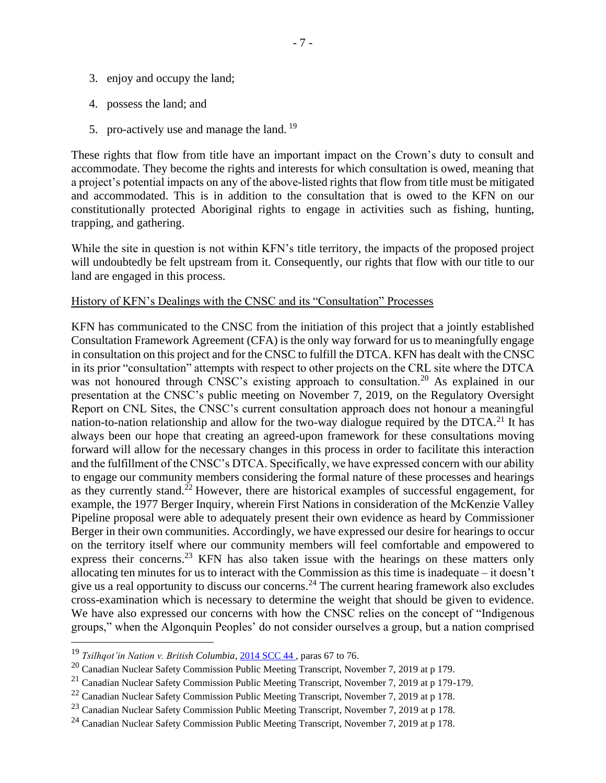- 3. enjoy and occupy the land;
- 4. possess the land; and
- 5. pro-actively use and manage the land.<sup>19</sup>

These rights that flow from title have an important impact on the Crown's duty to consult and accommodate. They become the rights and interests for which consultation is owed, meaning that a project's potential impacts on any of the above-listed rights that flow from title must be mitigated and accommodated. This is in addition to the consultation that is owed to the KFN on our constitutionally protected Aboriginal rights to engage in activities such as fishing, hunting, trapping, and gathering.

While the site in question is not within KFN's title territory, the impacts of the proposed project will undoubtedly be felt upstream from it. Consequently, our rights that flow with our title to our land are engaged in this process.

#### History of KFN's Dealings with the CNSC and its "Consultation" Processes

KFN has communicated to the CNSC from the initiation of this project that a jointly established Consultation Framework Agreement (CFA) is the only way forward for us to meaningfully engage in consultation on this project and for the CNSC to fulfill the DTCA. KFN has dealt with the CNSC in its prior "consultation" attempts with respect to other projects on the CRL site where the DTCA was not honoured through CNSC's existing approach to consultation.<sup>20</sup> As explained in our presentation at the CNSC's public meeting on November 7, 2019, on the Regulatory Oversight Report on CNL Sites, the CNSC's current consultation approach does not honour a meaningful nation-to-nation relationship and allow for the two-way dialogue required by the DTCA.<sup>21</sup> It has always been our hope that creating an agreed-upon framework for these consultations moving forward will allow for the necessary changes in this process in order to facilitate this interaction and the fulfillment of the CNSC's DTCA. Specifically, we have expressed concern with our ability to engage our community members considering the formal nature of these processes and hearings as they currently stand.<sup>22</sup> However, there are historical examples of successful engagement, for example, the 1977 Berger Inquiry, wherein First Nations in consideration of the McKenzie Valley Pipeline proposal were able to adequately present their own evidence as heard by Commissioner Berger in their own communities. Accordingly, we have expressed our desire for hearings to occur on the territory itself where our community members will feel comfortable and empowered to express their concerns.<sup>23</sup> KFN has also taken issue with the hearings on these matters only allocating ten minutes for us to interact with the Commission as this time is inadequate – it doesn't give us a real opportunity to discuss our concerns.<sup>24</sup> The current hearing framework also excludes cross-examination which is necessary to determine the weight that should be given to evidence. We have also expressed our concerns with how the CNSC relies on the concept of "Indigenous groups," when the Algonquin Peoples' do not consider ourselves a group, but a nation comprised

<sup>19</sup> *Tsilhqot'in Nation v. British Columbia*[, 2014 SCC 44 ,](https://www.canlii.org/en/ca/scc/doc/2014/2014scc44/2014scc44.html?autocompleteStr=tsi&autocompletePos=1) paras 67 to 76.

<sup>20</sup> Canadian Nuclear Safety Commission Public Meeting Transcript, November 7, 2019 at p 179.

 $^{21}$  Canadian Nuclear Safety Commission Public Meeting Transcript, November 7, 2019 at p 179-179.

 $^{22}$  Canadian Nuclear Safety Commission Public Meeting Transcript, November 7, 2019 at p 178.

<sup>&</sup>lt;sup>23</sup> Canadian Nuclear Safety Commission Public Meeting Transcript, November 7, 2019 at p 178.

 $24$  Canadian Nuclear Safety Commission Public Meeting Transcript, November 7, 2019 at p 178.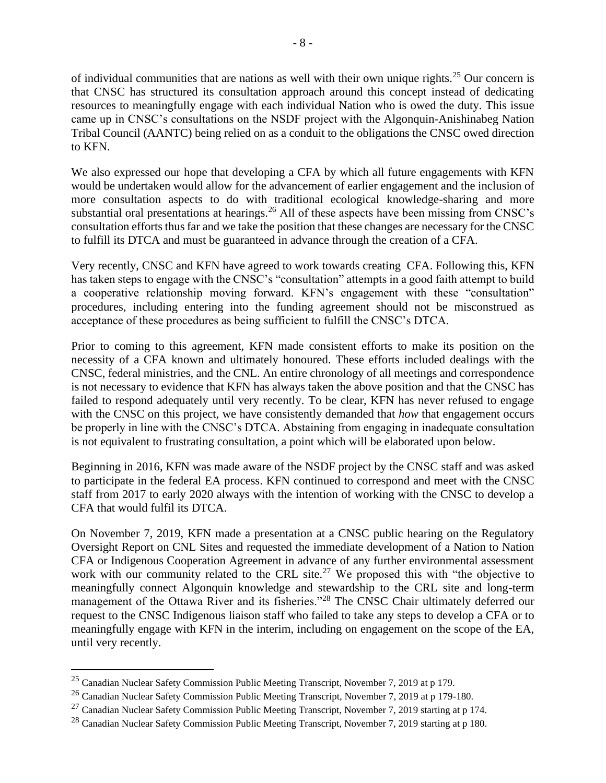of individual communities that are nations as well with their own unique rights.<sup>25</sup> Our concern is that CNSC has structured its consultation approach around this concept instead of dedicating resources to meaningfully engage with each individual Nation who is owed the duty. This issue came up in CNSC's consultations on the NSDF project with the Algonquin-Anishinabeg Nation Tribal Council (AANTC) being relied on as a conduit to the obligations the CNSC owed direction to KFN.

We also expressed our hope that developing a CFA by which all future engagements with KFN would be undertaken would allow for the advancement of earlier engagement and the inclusion of more consultation aspects to do with traditional ecological knowledge-sharing and more substantial oral presentations at hearings.<sup>26</sup> All of these aspects have been missing from CNSC's consultation efforts thus far and we take the position that these changes are necessary for the CNSC to fulfill its DTCA and must be guaranteed in advance through the creation of a CFA.

Very recently, CNSC and KFN have agreed to work towards creating CFA. Following this, KFN has taken steps to engage with the CNSC's "consultation" attempts in a good faith attempt to build a cooperative relationship moving forward. KFN's engagement with these "consultation" procedures, including entering into the funding agreement should not be misconstrued as acceptance of these procedures as being sufficient to fulfill the CNSC's DTCA.

Prior to coming to this agreement, KFN made consistent efforts to make its position on the necessity of a CFA known and ultimately honoured. These efforts included dealings with the CNSC, federal ministries, and the CNL. An entire chronology of all meetings and correspondence is not necessary to evidence that KFN has always taken the above position and that the CNSC has failed to respond adequately until very recently. To be clear, KFN has never refused to engage with the CNSC on this project, we have consistently demanded that *how* that engagement occurs be properly in line with the CNSC's DTCA. Abstaining from engaging in inadequate consultation is not equivalent to frustrating consultation, a point which will be elaborated upon below.

Beginning in 2016, KFN was made aware of the NSDF project by the CNSC staff and was asked to participate in the federal EA process. KFN continued to correspond and meet with the CNSC staff from 2017 to early 2020 always with the intention of working with the CNSC to develop a CFA that would fulfil its DTCA.

On November 7, 2019, KFN made a presentation at a CNSC public hearing on the Regulatory Oversight Report on CNL Sites and requested the immediate development of a Nation to Nation CFA or Indigenous Cooperation Agreement in advance of any further environmental assessment work with our community related to the CRL site.<sup>27</sup> We proposed this with "the objective to meaningfully connect Algonquin knowledge and stewardship to the CRL site and long-term management of the Ottawa River and its fisheries."<sup>28</sup> The CNSC Chair ultimately deferred our request to the CNSC Indigenous liaison staff who failed to take any steps to develop a CFA or to meaningfully engage with KFN in the interim, including on engagement on the scope of the EA, until very recently.

<sup>25</sup> Canadian Nuclear Safety Commission Public Meeting Transcript, November 7, 2019 at p 179.

<sup>&</sup>lt;sup>26</sup> Canadian Nuclear Safety Commission Public Meeting Transcript, November 7, 2019 at p 179-180.

 $^{27}$  Canadian Nuclear Safety Commission Public Meeting Transcript, November 7, 2019 starting at p 174.

<sup>&</sup>lt;sup>28</sup> Canadian Nuclear Safety Commission Public Meeting Transcript, November 7, 2019 starting at p 180.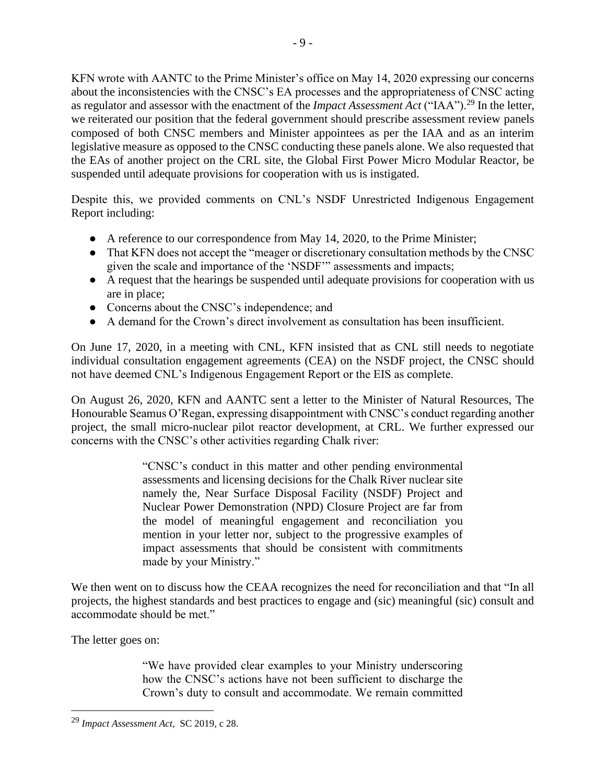KFN wrote with AANTC to the Prime Minister's office on May 14, 2020 expressing our concerns about the inconsistencies with the CNSC's EA processes and the appropriateness of CNSC acting as regulator and assessor with the enactment of the *Impact Assessment Act* ("IAA").<sup>29</sup> In the letter, we reiterated our position that the federal government should prescribe assessment review panels composed of both CNSC members and Minister appointees as per the IAA and as an interim legislative measure as opposed to the CNSC conducting these panels alone. We also requested that the EAs of another project on the CRL site, the Global First Power Micro Modular Reactor, be suspended until adequate provisions for cooperation with us is instigated.

Despite this, we provided comments on CNL's NSDF Unrestricted Indigenous Engagement Report including:

- A reference to our correspondence from May 14, 2020, to the Prime Minister;
- That KFN does not accept the "meager or discretionary consultation methods by the CNSC given the scale and importance of the 'NSDF'" assessments and impacts;
- A request that the hearings be suspended until adequate provisions for cooperation with us are in place;
- Concerns about the CNSC's independence; and
- A demand for the Crown's direct involvement as consultation has been insufficient.

On June 17, 2020, in a meeting with CNL, KFN insisted that as CNL still needs to negotiate individual consultation engagement agreements (CEA) on the NSDF project, the CNSC should not have deemed CNL's Indigenous Engagement Report or the EIS as complete.

On August 26, 2020, KFN and AANTC sent a letter to the Minister of Natural Resources, The Honourable Seamus O'Regan, expressing disappointment with CNSC's conduct regarding another project, the small micro-nuclear pilot reactor development, at CRL. We further expressed our concerns with the CNSC's other activities regarding Chalk river:

> "CNSC's conduct in this matter and other pending environmental assessments and licensing decisions for the Chalk River nuclear site namely the, Near Surface Disposal Facility (NSDF) Project and Nuclear Power Demonstration (NPD) Closure Project are far from the model of meaningful engagement and reconciliation you mention in your letter nor, subject to the progressive examples of impact assessments that should be consistent with commitments made by your Ministry."

We then went on to discuss how the CEAA recognizes the need for reconciliation and that "In all projects, the highest standards and best practices to engage and (sic) meaningful (sic) consult and accommodate should be met."

The letter goes on:

"We have provided clear examples to your Ministry underscoring how the CNSC's actions have not been sufficient to discharge the Crown's duty to consult and accommodate. We remain committed

<sup>29</sup> *Impact Assessment Act,* SC 2019, c 28.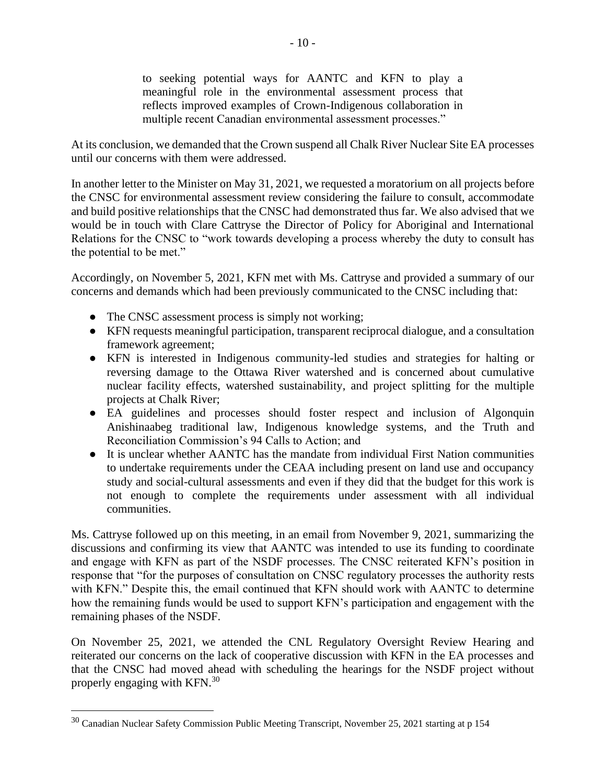to seeking potential ways for AANTC and KFN to play a meaningful role in the environmental assessment process that reflects improved examples of Crown-Indigenous collaboration in multiple recent Canadian environmental assessment processes."

At its conclusion, we demanded that the Crown suspend all Chalk River Nuclear Site EA processes until our concerns with them were addressed.

In another letter to the Minister on May 31, 2021, we requested a moratorium on all projects before the CNSC for environmental assessment review considering the failure to consult, accommodate and build positive relationships that the CNSC had demonstrated thus far. We also advised that we would be in touch with Clare Cattryse the Director of Policy for Aboriginal and International Relations for the CNSC to "work towards developing a process whereby the duty to consult has the potential to be met."

Accordingly, on November 5, 2021, KFN met with Ms. Cattryse and provided a summary of our concerns and demands which had been previously communicated to the CNSC including that:

- The CNSC assessment process is simply not working;
- KFN requests meaningful participation, transparent reciprocal dialogue, and a consultation framework agreement;
- KFN is interested in Indigenous community-led studies and strategies for halting or reversing damage to the Ottawa River watershed and is concerned about cumulative nuclear facility effects, watershed sustainability, and project splitting for the multiple projects at Chalk River;
- EA guidelines and processes should foster respect and inclusion of Algonquin Anishinaabeg traditional law, Indigenous knowledge systems, and the Truth and Reconciliation Commission's 94 Calls to Action; and
- It is unclear whether AANTC has the mandate from individual First Nation communities to undertake requirements under the CEAA including present on land use and occupancy study and social-cultural assessments and even if they did that the budget for this work is not enough to complete the requirements under assessment with all individual communities.

Ms. Cattryse followed up on this meeting, in an email from November 9, 2021, summarizing the discussions and confirming its view that AANTC was intended to use its funding to coordinate and engage with KFN as part of the NSDF processes. The CNSC reiterated KFN's position in response that "for the purposes of consultation on CNSC regulatory processes the authority rests with KFN." Despite this, the email continued that KFN should work with AANTC to determine how the remaining funds would be used to support KFN's participation and engagement with the remaining phases of the NSDF.

On November 25, 2021, we attended the CNL Regulatory Oversight Review Hearing and reiterated our concerns on the lack of cooperative discussion with KFN in the EA processes and that the CNSC had moved ahead with scheduling the hearings for the NSDF project without properly engaging with KFN.<sup>30</sup>

<sup>&</sup>lt;sup>30</sup> Canadian Nuclear Safety Commission Public Meeting Transcript, November 25, 2021 starting at p 154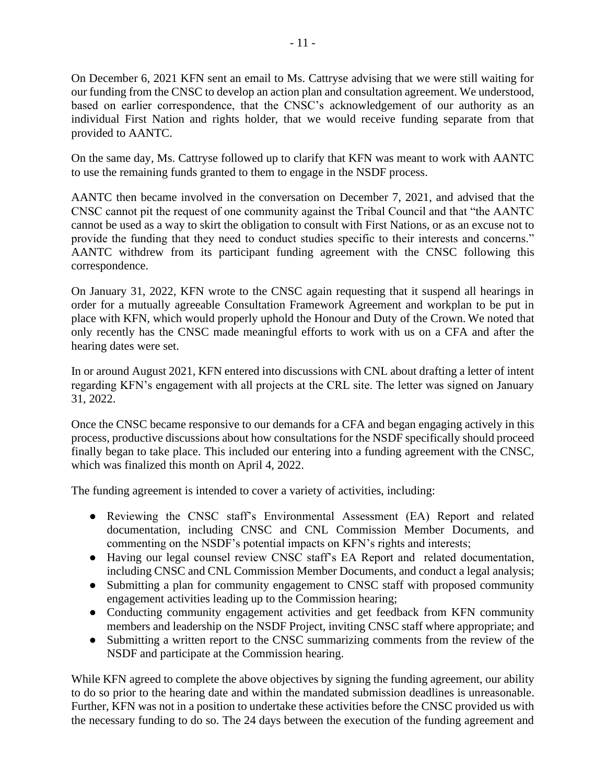On December 6, 2021 KFN sent an email to Ms. Cattryse advising that we were still waiting for our funding from the CNSC to develop an action plan and consultation agreement. We understood, based on earlier correspondence, that the CNSC's acknowledgement of our authority as an individual First Nation and rights holder, that we would receive funding separate from that provided to AANTC.

On the same day, Ms. Cattryse followed up to clarify that KFN was meant to work with AANTC to use the remaining funds granted to them to engage in the NSDF process.

AANTC then became involved in the conversation on December 7, 2021, and advised that the CNSC cannot pit the request of one community against the Tribal Council and that "the AANTC cannot be used as a way to skirt the obligation to consult with First Nations, or as an excuse not to provide the funding that they need to conduct studies specific to their interests and concerns." AANTC withdrew from its participant funding agreement with the CNSC following this correspondence.

On January 31, 2022, KFN wrote to the CNSC again requesting that it suspend all hearings in order for a mutually agreeable Consultation Framework Agreement and workplan to be put in place with KFN, which would properly uphold the Honour and Duty of the Crown. We noted that only recently has the CNSC made meaningful efforts to work with us on a CFA and after the hearing dates were set.

In or around August 2021, KFN entered into discussions with CNL about drafting a letter of intent regarding KFN's engagement with all projects at the CRL site. The letter was signed on January 31, 2022.

Once the CNSC became responsive to our demands for a CFA and began engaging actively in this process, productive discussions about how consultations for the NSDF specifically should proceed finally began to take place. This included our entering into a funding agreement with the CNSC, which was finalized this month on April 4, 2022.

The funding agreement is intended to cover a variety of activities, including:

- Reviewing the CNSC staff's Environmental Assessment (EA) Report and related documentation, including CNSC and CNL Commission Member Documents, and commenting on the NSDF's potential impacts on KFN's rights and interests;
- Having our legal counsel review CNSC staff's EA Report and related documentation, including CNSC and CNL Commission Member Documents, and conduct a legal analysis;
- Submitting a plan for community engagement to CNSC staff with proposed community engagement activities leading up to the Commission hearing;
- Conducting community engagement activities and get feedback from KFN community members and leadership on the NSDF Project, inviting CNSC staff where appropriate; and
- Submitting a written report to the CNSC summarizing comments from the review of the NSDF and participate at the Commission hearing.

While KFN agreed to complete the above objectives by signing the funding agreement, our ability to do so prior to the hearing date and within the mandated submission deadlines is unreasonable. Further, KFN was not in a position to undertake these activities before the CNSC provided us with the necessary funding to do so. The 24 days between the execution of the funding agreement and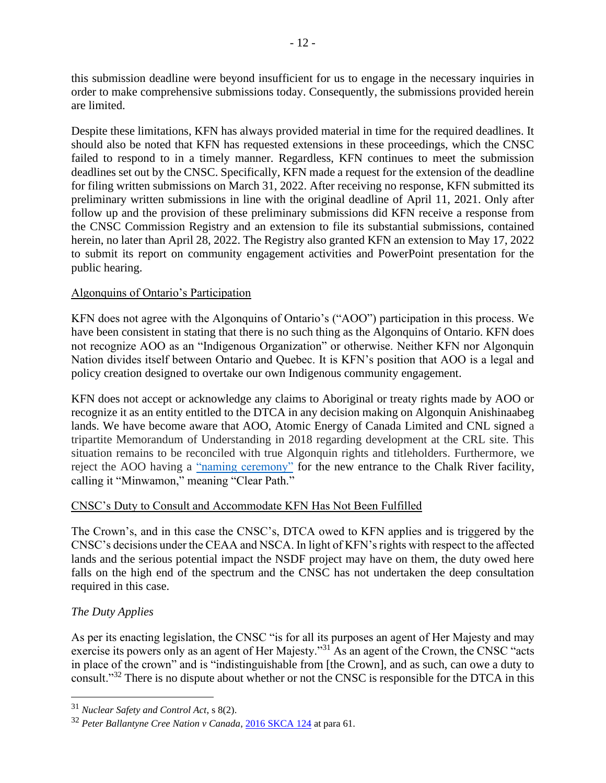this submission deadline were beyond insufficient for us to engage in the necessary inquiries in order to make comprehensive submissions today. Consequently, the submissions provided herein are limited.

Despite these limitations, KFN has always provided material in time for the required deadlines. It should also be noted that KFN has requested extensions in these proceedings, which the CNSC failed to respond to in a timely manner. Regardless, KFN continues to meet the submission deadlines set out by the CNSC. Specifically, KFN made a request for the extension of the deadline for filing written submissions on March 31, 2022. After receiving no response, KFN submitted its preliminary written submissions in line with the original deadline of April 11, 2021. Only after follow up and the provision of these preliminary submissions did KFN receive a response from the CNSC Commission Registry and an extension to file its substantial submissions, contained herein, no later than April 28, 2022. The Registry also granted KFN an extension to May 17, 2022 to submit its report on community engagement activities and PowerPoint presentation for the public hearing.

# Algonquins of Ontario's Participation

KFN does not agree with the Algonquins of Ontario's ("AOO") participation in this process. We have been consistent in stating that there is no such thing as the Algonquins of Ontario. KFN does not recognize AOO as an "Indigenous Organization" or otherwise. Neither KFN nor Algonquin Nation divides itself between Ontario and Quebec. It is KFN's position that AOO is a legal and policy creation designed to overtake our own Indigenous community engagement.

KFN does not accept or acknowledge any claims to Aboriginal or treaty rights made by AOO or recognize it as an entity entitled to the DTCA in any decision making on Algonquin Anishinaabeg lands. We have become aware that AOO, Atomic Energy of Canada Limited and CNL signed a tripartite Memorandum of Understanding in 2018 regarding development at the CRL site. This situation remains to be reconciled with true Algonquin rights and titleholders. Furthermore, we reject the AOO having a ["naming ceremony"](https://www.cnl.ca/algonquins-of-ontario-honour-aecl-and-cnl-with-name-for-new-site-entrance-building-at-chalk-river-campus/) for the new entrance to the Chalk River facility, calling it "Minwamon," meaning "Clear Path."

# CNSC's Duty to Consult and Accommodate KFN Has Not Been Fulfilled

The Crown's, and in this case the CNSC's, DTCA owed to KFN applies and is triggered by the CNSC's decisions under the CEAA and NSCA. In light of KFN's rights with respect to the affected lands and the serious potential impact the NSDF project may have on them, the duty owed here falls on the high end of the spectrum and the CNSC has not undertaken the deep consultation required in this case.

# *The Duty Applies*

As per its enacting legislation, the CNSC "is for all its purposes an agent of Her Majesty and may exercise its powers only as an agent of Her Majesty."<sup>31</sup> As an agent of the Crown, the CNSC "acts in place of the crown" and is "indistinguishable from [the Crown], and as such, can owe a duty to consult."<sup>32</sup> There is no dispute about whether or not the CNSC is responsible for the DTCA in this

<sup>31</sup> *Nuclear Safety and Control Act*, s 8(2).

<sup>32</sup> *Peter Ballantyne Cree Nation v Canada*, [2016 SKCA 124](https://www.canlii.org/en/sk/skca/doc/2016/2016skca124/2016skca124.html?autocompleteStr=peter%20ballan&autocompletePos=1) at para 61.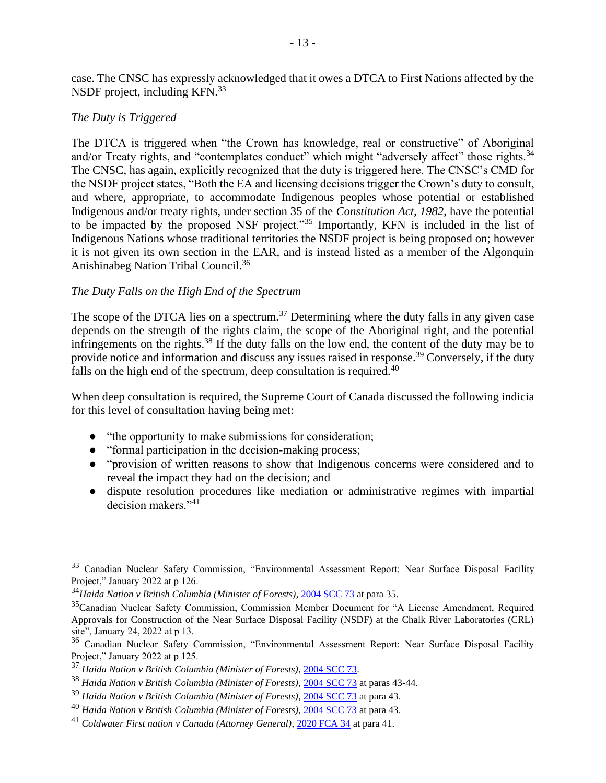case. The CNSC has expressly acknowledged that it owes a DTCA to First Nations affected by the NSDF project, including KFN.<sup>33</sup>

#### *The Duty is Triggered*

The DTCA is triggered when "the Crown has knowledge, real or constructive" of Aboriginal and/or Treaty rights, and "contemplates conduct" which might "adversely affect" those rights.<sup>34</sup> The CNSC, has again, explicitly recognized that the duty is triggered here. The CNSC's CMD for the NSDF project states, "Both the EA and licensing decisions trigger the Crown's duty to consult, and where, appropriate, to accommodate Indigenous peoples whose potential or established Indigenous and/or treaty rights, under section 35 of the *Constitution Act, 1982*, have the potential to be impacted by the proposed NSF project."<sup>35</sup> Importantly, KFN is included in the list of Indigenous Nations whose traditional territories the NSDF project is being proposed on; however it is not given its own section in the EAR, and is instead listed as a member of the Algonquin Anishinabeg Nation Tribal Council.<sup>36</sup>

#### *The Duty Falls on the High End of the Spectrum*

The scope of the DTCA lies on a spectrum.<sup>37</sup> Determining where the duty falls in any given case depends on the strength of the rights claim, the scope of the Aboriginal right, and the potential infringements on the rights.<sup>38</sup> If the duty falls on the low end, the content of the duty may be to provide notice and information and discuss any issues raised in response.<sup>39</sup> Conversely, if the duty falls on the high end of the spectrum, deep consultation is required. $40$ 

When deep consultation is required, the Supreme Court of Canada discussed the following indicia for this level of consultation having being met:

- "the opportunity to make submissions for consideration;
- "formal participation in the decision-making process;
- "provision of written reasons to show that Indigenous concerns were considered and to reveal the impact they had on the decision; and
- dispute resolution procedures like mediation or administrative regimes with impartial decision makers."<sup>41</sup>

<sup>33</sup> Canadian Nuclear Safety Commission, "Environmental Assessment Report: Near Surface Disposal Facility Project," January 2022 at p 126.

<sup>34</sup>*Haida Nation v British Columbia (Minister of Forests)*, [2004 SCC 73](https://www.canlii.org/en/ca/scc/doc/2004/2004scc73/2004scc73.html?autocompleteStr=haida%20&autocompletePos=1) at para 35.

<sup>&</sup>lt;sup>35</sup>Canadian Nuclear Safety Commission, Commission Member Document for "A License Amendment, Required Approvals for Construction of the Near Surface Disposal Facility (NSDF) at the Chalk River Laboratories (CRL) site", January 24, 2022 at p 13.

<sup>36</sup> Canadian Nuclear Safety Commission, "Environmental Assessment Report: Near Surface Disposal Facility Project," January 2022 at p 125.

<sup>37</sup> *Haida Nation v British Columbia (Minister of Forests)*[, 2004 SCC 73.](https://www.canlii.org/en/ca/scc/doc/2004/2004scc73/2004scc73.html?autocompleteStr=haida%20&autocompletePos=1)

<sup>38</sup> *Haida Nation v British Columbia (Minister of Forests)*[, 2004 SCC](https://www.canlii.org/en/ca/scc/doc/2004/2004scc73/2004scc73.html?autocompleteStr=haida%20&autocompletePos=1) 73 at paras 43-44.

<sup>39</sup> *Haida Nation v British Columbia (Minister of Forests)*[, 2004 SCC 73](https://www.canlii.org/en/ca/scc/doc/2004/2004scc73/2004scc73.html?autocompleteStr=haida%20&autocompletePos=1) at para 43.

<sup>40</sup> *Haida Nation v British Columbia (Minister of Forests)*[, 2004 SCC 73](https://www.canlii.org/en/ca/scc/doc/2004/2004scc73/2004scc73.html?autocompleteStr=haida%20&autocompletePos=1) at para 43.

<sup>41</sup> *Coldwater First nation v Canada (Attorney General)*[, 2020 FCA 34](https://www.canlii.org/en/ca/fca/doc/2020/2020fca34/2020fca34.html?autocompleteStr=coldwater%20&autocompletePos=1) at para 41.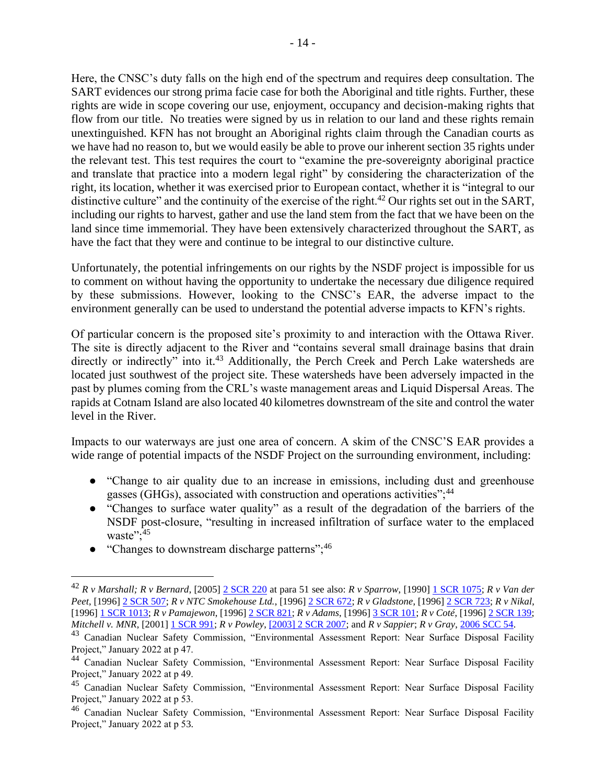Here, the CNSC's duty falls on the high end of the spectrum and requires deep consultation. The SART evidences our strong prima facie case for both the Aboriginal and title rights. Further, these rights are wide in scope covering our use, enjoyment, occupancy and decision-making rights that flow from our title. No treaties were signed by us in relation to our land and these rights remain unextinguished. KFN has not brought an Aboriginal rights claim through the Canadian courts as we have had no reason to, but we would easily be able to prove our inherent section 35 rights under the relevant test. This test requires the court to "examine the pre-sovereignty aboriginal practice and translate that practice into a modern legal right" by considering the characterization of the right, its location, whether it was exercised prior to European contact, whether it is "integral to our distinctive culture" and the continuity of the exercise of the right.<sup>42</sup> Our rights set out in the SART, including our rights to harvest, gather and use the land stem from the fact that we have been on the land since time immemorial. They have been extensively characterized throughout the SART, as have the fact that they were and continue to be integral to our distinctive culture.

Unfortunately, the potential infringements on our rights by the NSDF project is impossible for us to comment on without having the opportunity to undertake the necessary due diligence required by these submissions. However, looking to the CNSC's EAR, the adverse impact to the environment generally can be used to understand the potential adverse impacts to KFN's rights.

Of particular concern is the proposed site's proximity to and interaction with the Ottawa River. The site is directly adjacent to the River and "contains several small drainage basins that drain directly or indirectly" into it.<sup>43</sup> Additionally, the Perch Creek and Perch Lake watersheds are located just southwest of the project site. These watersheds have been adversely impacted in the past by plumes coming from the CRL's waste management areas and Liquid Dispersal Areas. The rapids at Cotnam Island are also located 40 kilometres downstream of the site and control the water level in the River.

Impacts to our waterways are just one area of concern. A skim of the CNSC'S EAR provides a wide range of potential impacts of the NSDF Project on the surrounding environment, including:

- "Change to air quality due to an increase in emissions, including dust and greenhouse gasses (GHGs), associated with construction and operations activities";<sup>44</sup>
- "Changes to surface water quality" as a result of the degradation of the barriers of the NSDF post-closure, "resulting in increased infiltration of surface water to the emplaced waste": $45$
- "Changes to downstream discharge patterns";<sup>46</sup>

<sup>42</sup> *R v Marshall; R v Bernard*, [2005] [2 SCR 220](https://www.canlii.org/en/ca/scc/doc/2005/2005scc43/2005scc43.html?autocompleteStr=marshall&autocompletePos=4) at para 51 see also: *R v Sparrow*, [1990] [1 SCR 1075;](https://www.canlii.org/en/ca/scc/doc/1990/1990canlii104/1990canlii104.html?autocompleteStr=r%20v%20sparrow&autocompletePos=1) *R v Van der Peet*, [1996] [2 SCR 507;](https://www.canlii.org/en/ca/scc/doc/1996/1996canlii216/1996canlii216.html?autocompleteStr=r%20v%20van&autocompletePos=1) *R v NTC Smokehouse Ltd.*, [1996[\] 2 SCR 672;](https://www.canlii.org/en/ca/scc/doc/1996/1996canlii159/1996canlii159.html?autocompleteStr=r%20v%20ntc%20smo&autocompletePos=1) *R v Gladstone*, [1996[\] 2 SCR 723;](https://www.canlii.org/en/ca/scc/doc/1996/1996canlii160/1996canlii160.html?autocompleteStr=r%20v%20gladstone&autocompletePos=1) *R v Nikal*, [1996] [1 SCR 1013;](https://www.canlii.org/en/ca/scc/doc/1996/1996canlii245/1996canlii245.html?autocompleteStr=r%20v%20nika&autocompletePos=1) *R v Pamajewon*, [1996[\] 2 SCR 821;](https://www.canlii.org/en/ca/scc/doc/1996/1996canlii161/1996canlii161.html?autocompleteStr=r%20v%20pama&autocompletePos=1) *R v Adams*, [1996[\] 3 SCR 101;](https://www.canlii.org/en/ca/scc/doc/1996/1996canlii169/1996canlii169.html?autocompleteStr=r%20v%20adams&autocompletePos=2) *R v Coté*, [1996[\] 2 SCR 139;](https://www.canlii.org/en/ca/scc/doc/1996/1996canlii170/1996canlii170.html?autocompleteStr=r%20v%20cote&autocompletePos=3) *Mitchell v. MNR*, [2001[\] 1 SCR 991;](https://www.canlii.org/en/ca/scc/doc/2001/2001scc33/2001scc33.html?autocompleteStr=mitchell%20v%20&autocompletePos=2) *R v Powley*[, \[2003\] 2 SCR 2007;](https://www.canlii.org/en/ca/scc/doc/2003/2003scc43/2003scc43.html?autocompleteStr=r%20v%20powley&autocompletePos=1) and *R v Sappier*; *R v Gray*, [2006 SCC 54.](https://www.canlii.org/en/ca/scc/doc/2006/2006scc54/2006scc54.html?autocompleteStr=r%20v%20sappier&autocompletePos=1)

<sup>43</sup> Canadian Nuclear Safety Commission, "Environmental Assessment Report: Near Surface Disposal Facility Project," January 2022 at p 47.

<sup>44</sup> Canadian Nuclear Safety Commission, "Environmental Assessment Report: Near Surface Disposal Facility Project," January 2022 at p 49.

<sup>45</sup> Canadian Nuclear Safety Commission, "Environmental Assessment Report: Near Surface Disposal Facility Project," January 2022 at p 53.

<sup>46</sup> Canadian Nuclear Safety Commission, "Environmental Assessment Report: Near Surface Disposal Facility Project," January 2022 at p 53.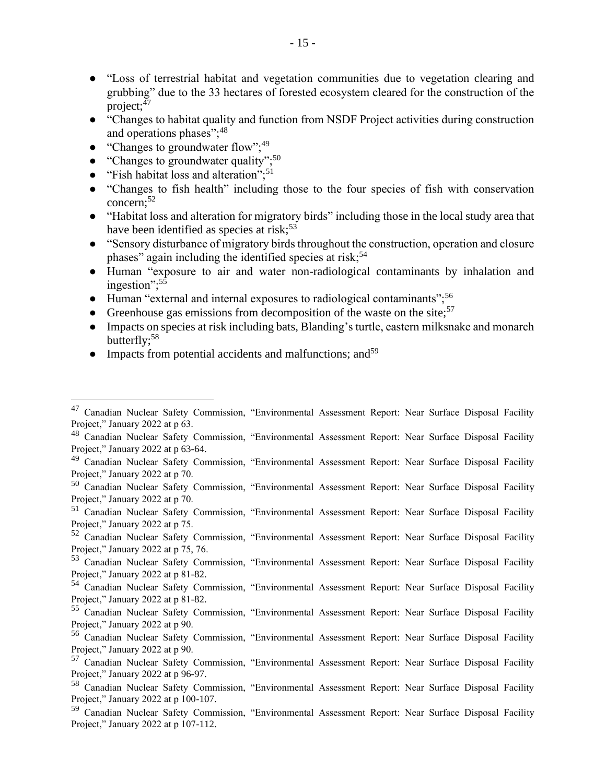- "Loss of terrestrial habitat and vegetation communities due to vegetation clearing and grubbing" due to the 33 hectares of forested ecosystem cleared for the construction of the project;<sup>47</sup>
- "Changes to habitat quality and function from NSDF Project activities during construction and operations phases";<sup>48</sup>
- "Changes to groundwater flow"; $^{49}$
- "Changes to groundwater quality"; $50$
- $\bullet$  "Fish habitat loss and alteration";<sup>51</sup>
- "Changes to fish health" including those to the four species of fish with conservation concern: $52$
- "Habitat loss and alteration for migratory birds" including those in the local study area that have been identified as species at risk; $53$
- "Sensory disturbance of migratory birds throughout the construction, operation and closure phases" again including the identified species at risk;<sup>54</sup>
- Human "exposure to air and water non-radiological contaminants by inhalation and ingestion";<sup>55</sup>
- Human "external and internal exposures to radiological contaminants";<sup>56</sup>
- Greenhouse gas emissions from decomposition of the waste on the site;  $57$
- Impacts on species at risk including bats, Blanding's turtle, eastern milksnake and monarch butterfly;<sup>58</sup>
- $\bullet$  Impacts from potential accidents and malfunctions; and<sup>59</sup>

<sup>47</sup> Canadian Nuclear Safety Commission, "Environmental Assessment Report: Near Surface Disposal Facility Project," January 2022 at p 63.

<sup>48</sup> Canadian Nuclear Safety Commission, "Environmental Assessment Report: Near Surface Disposal Facility Project," January 2022 at p 63-64.

<sup>&</sup>lt;sup>49</sup> Canadian Nuclear Safety Commission, "Environmental Assessment Report: Near Surface Disposal Facility Project," January 2022 at p 70.

<sup>50</sup> Canadian Nuclear Safety Commission, "Environmental Assessment Report: Near Surface Disposal Facility Project," January 2022 at p 70.

<sup>51</sup> Canadian Nuclear Safety Commission, "Environmental Assessment Report: Near Surface Disposal Facility Project," January 2022 at p 75.

<sup>52</sup> Canadian Nuclear Safety Commission, "Environmental Assessment Report: Near Surface Disposal Facility Project," January 2022 at p 75, 76.

<sup>53</sup> Canadian Nuclear Safety Commission, "Environmental Assessment Report: Near Surface Disposal Facility Project," January 2022 at p 81-82.

<sup>54</sup> Canadian Nuclear Safety Commission, "Environmental Assessment Report: Near Surface Disposal Facility Project," January 2022 at p 81-82.

<sup>55</sup> Canadian Nuclear Safety Commission, "Environmental Assessment Report: Near Surface Disposal Facility Project," January 2022 at p 90.

<sup>56</sup> Canadian Nuclear Safety Commission, "Environmental Assessment Report: Near Surface Disposal Facility Project," January 2022 at p 90.

<sup>57</sup> Canadian Nuclear Safety Commission, "Environmental Assessment Report: Near Surface Disposal Facility Project," January 2022 at p 96-97.

<sup>58</sup> Canadian Nuclear Safety Commission, "Environmental Assessment Report: Near Surface Disposal Facility Project," January 2022 at p 100-107.

<sup>59</sup> Canadian Nuclear Safety Commission, "Environmental Assessment Report: Near Surface Disposal Facility Project," January 2022 at p 107-112.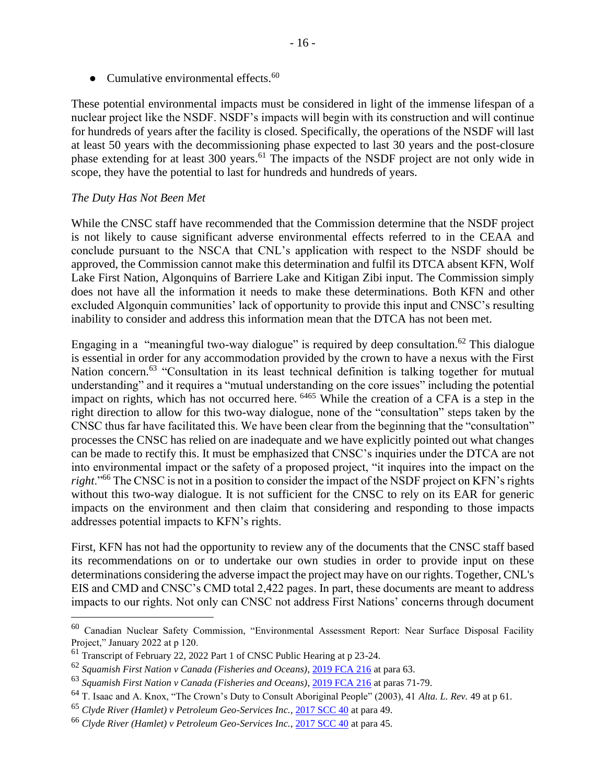• Cumulative environmental effects. $60$ 

These potential environmental impacts must be considered in light of the immense lifespan of a nuclear project like the NSDF. NSDF's impacts will begin with its construction and will continue for hundreds of years after the facility is closed. Specifically, the operations of the NSDF will last at least 50 years with the decommissioning phase expected to last 30 years and the post-closure phase extending for at least 300 years.<sup>61</sup> The impacts of the NSDF project are not only wide in scope, they have the potential to last for hundreds and hundreds of years.

#### *The Duty Has Not Been Met*

While the CNSC staff have recommended that the Commission determine that the NSDF project is not likely to cause significant adverse environmental effects referred to in the CEAA and conclude pursuant to the NSCA that CNL's application with respect to the NSDF should be approved, the Commission cannot make this determination and fulfil its DTCA absent KFN, Wolf Lake First Nation, Algonquins of Barriere Lake and Kitigan Zibi input. The Commission simply does not have all the information it needs to make these determinations. Both KFN and other excluded Algonquin communities' lack of opportunity to provide this input and CNSC's resulting inability to consider and address this information mean that the DTCA has not been met.

Engaging in a "meaningful two-way dialogue" is required by deep consultation.<sup>62</sup> This dialogue is essential in order for any accommodation provided by the crown to have a nexus with the First Nation concern.<sup>63</sup> "Consultation in its least technical definition is talking together for mutual understanding" and it requires a "mutual understanding on the core issues" including the potential impact on rights, which has not occurred here. <sup>6465</sup> While the creation of a CFA is a step in the right direction to allow for this two-way dialogue, none of the "consultation" steps taken by the CNSC thus far have facilitated this. We have been clear from the beginning that the "consultation" processes the CNSC has relied on are inadequate and we have explicitly pointed out what changes can be made to rectify this. It must be emphasized that CNSC's inquiries under the DTCA are not into environmental impact or the safety of a proposed project, "it inquires into the impact on the *right*."<sup>66</sup> The CNSC is not in a position to consider the impact of the NSDF project on KFN's rights without this two-way dialogue. It is not sufficient for the CNSC to rely on its EAR for generic impacts on the environment and then claim that considering and responding to those impacts addresses potential impacts to KFN's rights.

First, KFN has not had the opportunity to review any of the documents that the CNSC staff based its recommendations on or to undertake our own studies in order to provide input on these determinations considering the adverse impact the project may have on our rights. Together, CNL's EIS and CMD and CNSC's CMD total 2,422 pages. In part, these documents are meant to address impacts to our rights. Not only can CNSC not address First Nations' concerns through document

<sup>60</sup> Canadian Nuclear Safety Commission, "Environmental Assessment Report: Near Surface Disposal Facility Project," January 2022 at p 120.

<sup>&</sup>lt;sup>61</sup> Transcript of February 22, 2022 Part 1 of CNSC Public Hearing at p 23-24.

<sup>62</sup> *Squamish First Nation v Canada (Fisheries and Oceans)*[, 2019 FCA 216](https://www.canlii.org/en/ca/fca/doc/2019/2019fca216/2019fca216.html?autocompleteStr=squamish%20first%20n&autocompletePos=1) at para 63.

<sup>63</sup> *Squamish First Nation v Canada (Fisheries and Oceans)*[, 2019 FCA 216](https://www.canlii.org/en/ca/fca/doc/2019/2019fca216/2019fca216.html?autocompleteStr=squamish%20first%20n&autocompletePos=1) at paras 71-79.

<sup>64</sup> T. Isaac and A. Knox, "The Crown's Duty to Consult Aboriginal People" (2003), 41 *Alta. L. Rev.* 49 at p 61.

<sup>65</sup> *Clyde River (Hamlet) v Petroleum Geo-Services Inc.*[, 2017 SCC 40](https://www.canlii.org/en/ca/scc/doc/2017/2017scc40/2017scc40.html?autocompleteStr=clyde%20ri&autocompletePos=1) at para 49.

<sup>66</sup> *Clyde River (Hamlet) v Petroleum Geo-Services Inc.*[, 2017 SCC 40](https://www.canlii.org/en/ca/scc/doc/2017/2017scc40/2017scc40.html?autocompleteStr=clyde%20ri&autocompletePos=1) at para 45.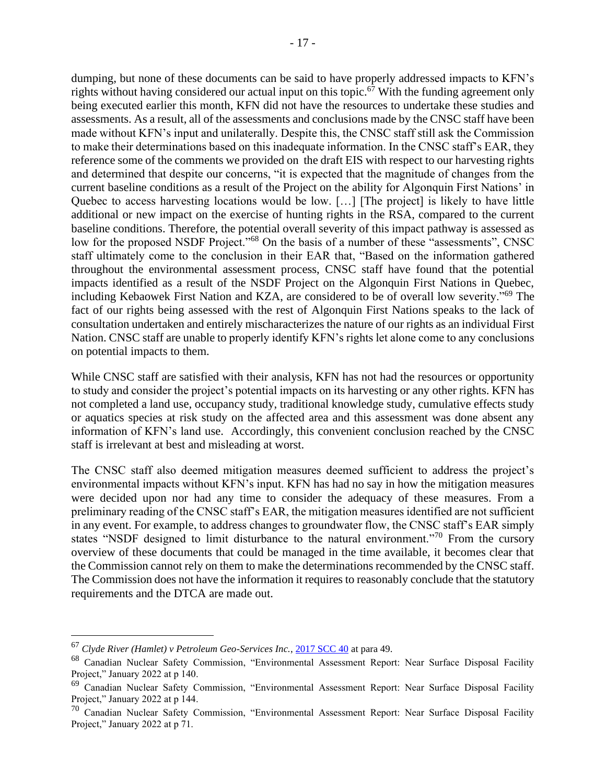dumping, but none of these documents can be said to have properly addressed impacts to KFN's rights without having considered our actual input on this topic.<sup> $67$ </sup> With the funding agreement only being executed earlier this month, KFN did not have the resources to undertake these studies and assessments. As a result, all of the assessments and conclusions made by the CNSC staff have been made without KFN's input and unilaterally. Despite this, the CNSC staff still ask the Commission to make their determinations based on this inadequate information. In the CNSC staff's EAR, they reference some of the comments we provided on the draft EIS with respect to our harvesting rights and determined that despite our concerns, "it is expected that the magnitude of changes from the current baseline conditions as a result of the Project on the ability for Algonquin First Nations' in Quebec to access harvesting locations would be low. […] [The project] is likely to have little additional or new impact on the exercise of hunting rights in the RSA, compared to the current baseline conditions. Therefore, the potential overall severity of this impact pathway is assessed as low for the proposed NSDF Project."<sup>68</sup> On the basis of a number of these "assessments", CNSC staff ultimately come to the conclusion in their EAR that, "Based on the information gathered throughout the environmental assessment process, CNSC staff have found that the potential impacts identified as a result of the NSDF Project on the Algonquin First Nations in Quebec, including Kebaowek First Nation and KZA, are considered to be of overall low severity."<sup>69</sup> The fact of our rights being assessed with the rest of Algonquin First Nations speaks to the lack of consultation undertaken and entirely mischaracterizes the nature of our rights as an individual First Nation. CNSC staff are unable to properly identify KFN's rights let alone come to any conclusions on potential impacts to them.

While CNSC staff are satisfied with their analysis, KFN has not had the resources or opportunity to study and consider the project's potential impacts on its harvesting or any other rights. KFN has not completed a land use, occupancy study, traditional knowledge study, cumulative effects study or aquatics species at risk study on the affected area and this assessment was done absent any information of KFN's land use. Accordingly, this convenient conclusion reached by the CNSC staff is irrelevant at best and misleading at worst.

The CNSC staff also deemed mitigation measures deemed sufficient to address the project's environmental impacts without KFN's input. KFN has had no say in how the mitigation measures were decided upon nor had any time to consider the adequacy of these measures. From a preliminary reading of the CNSC staff's EAR, the mitigation measures identified are not sufficient in any event. For example, to address changes to groundwater flow, the CNSC staff's EAR simply states "NSDF designed to limit disturbance to the natural environment."<sup>70</sup> From the cursory overview of these documents that could be managed in the time available, it becomes clear that the Commission cannot rely on them to make the determinations recommended by the CNSC staff. The Commission does not have the information it requires to reasonably conclude that the statutory requirements and the DTCA are made out.

<sup>67</sup> *Clyde River (Hamlet) v Petroleum Geo-Services Inc.*[, 2017 SCC 40](https://www.canlii.org/en/ca/scc/doc/2017/2017scc40/2017scc40.html?autocompleteStr=clyde%20ri&autocompletePos=1) at para 49.

<sup>68</sup> Canadian Nuclear Safety Commission, "Environmental Assessment Report: Near Surface Disposal Facility Project," January 2022 at p 140.

<sup>69</sup> Canadian Nuclear Safety Commission, "Environmental Assessment Report: Near Surface Disposal Facility Project," January 2022 at p 144.

 $70$  Canadian Nuclear Safety Commission, "Environmental Assessment Report: Near Surface Disposal Facility Project," January 2022 at p 71.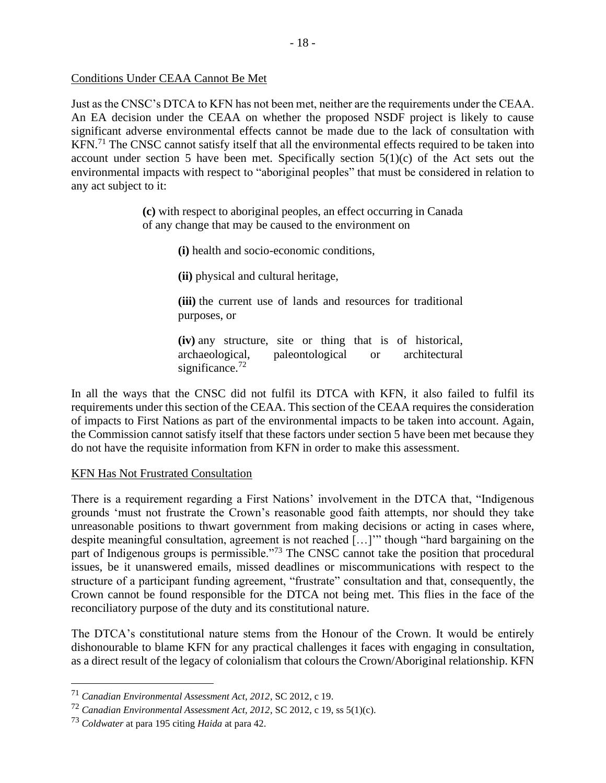### Conditions Under CEAA Cannot Be Met

Just as the CNSC's DTCA to KFN has not been met, neither are the requirements under the CEAA. An EA decision under the CEAA on whether the proposed NSDF project is likely to cause significant adverse environmental effects cannot be made due to the lack of consultation with KFN.<sup>71</sup> The CNSC cannot satisfy itself that all the environmental effects required to be taken into account under section 5 have been met. Specifically section  $5(1)(c)$  of the Act sets out the environmental impacts with respect to "aboriginal peoples" that must be considered in relation to any act subject to it:

> **(c)** with respect to aboriginal peoples, an effect occurring in Canada of any change that may be caused to the environment on

> > **(i)** health and socio-economic conditions,

**(ii)** physical and cultural heritage,

**(iii)** the current use of lands and resources for traditional purposes, or

**(iv)** any structure, site or thing that is of historical, archaeological, paleontological or architectural significance. $72$ 

In all the ways that the CNSC did not fulfil its DTCA with KFN, it also failed to fulfil its requirements under this section of the CEAA. This section of the CEAA requires the consideration of impacts to First Nations as part of the environmental impacts to be taken into account. Again, the Commission cannot satisfy itself that these factors under section 5 have been met because they do not have the requisite information from KFN in order to make this assessment.

# KFN Has Not Frustrated Consultation

There is a requirement regarding a First Nations' involvement in the DTCA that, "Indigenous grounds 'must not frustrate the Crown's reasonable good faith attempts, nor should they take unreasonable positions to thwart government from making decisions or acting in cases where, despite meaningful consultation, agreement is not reached […]'" though "hard bargaining on the part of Indigenous groups is permissible."<sup>73</sup> The CNSC cannot take the position that procedural issues, be it unanswered emails, missed deadlines or miscommunications with respect to the structure of a participant funding agreement, "frustrate" consultation and that, consequently, the Crown cannot be found responsible for the DTCA not being met. This flies in the face of the reconciliatory purpose of the duty and its constitutional nature.

The DTCA's constitutional nature stems from the Honour of the Crown. It would be entirely dishonourable to blame KFN for any practical challenges it faces with engaging in consultation, as a direct result of the legacy of colonialism that colours the Crown/Aboriginal relationship. KFN

<sup>71</sup> *Canadian Environmental Assessment Act, 2012*, SC 2012, c 19.

<sup>72</sup> *Canadian Environmental Assessment Act, 2012*, SC 2012, c 19, ss 5(1)(c).

<sup>73</sup> *Coldwater* at para 195 citing *Haida* at para 42.